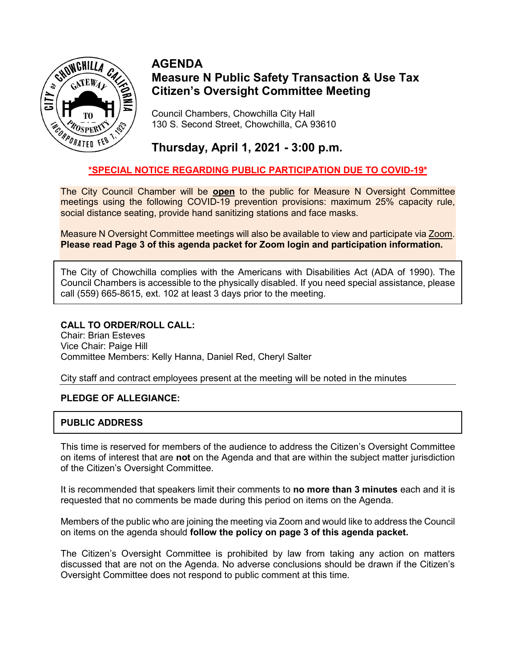

# **AGENDA Measure N Public Safety Transaction & Use Tax Citizen's Oversight Committee Meeting**

Council Chambers, Chowchilla City Hall 130 S. Second Street, Chowchilla, CA 93610

# **Thursday, April 1, 2021 - 3:00 p.m.**

# **\*SPECIAL NOTICE REGARDING PUBLIC PARTICIPATION DUE TO COVID-19\***

The City Council Chamber will be **open** to the public for Measure N Oversight Committee meetings using the following COVID-19 prevention provisions: maximum 25% capacity rule, social distance seating, provide hand sanitizing stations and face masks.

Measure N Oversight Committee meetings will also be available to view and participate via Zoom. **Please read Page 3 of this agenda packet for Zoom login and participation information.**

The City of Chowchilla complies with the Americans with Disabilities Act (ADA of 1990). The Council Chambers is accessible to the physically disabled. If you need special assistance, please call (559) 665-8615, ext. 102 at least 3 days prior to the meeting.

### **CALL TO ORDER/ROLL CALL:**

Chair: Brian Esteves Vice Chair: Paige Hill Committee Members: Kelly Hanna, Daniel Red, Cheryl Salter

City staff and contract employees present at the meeting will be noted in the minutes

### **PLEDGE OF ALLEGIANCE:**

### **PUBLIC ADDRESS**

This time is reserved for members of the audience to address the Citizen's Oversight Committee on items of interest that are **not** on the Agenda and that are within the subject matter jurisdiction of the Citizen's Oversight Committee.

It is recommended that speakers limit their comments to **no more than 3 minutes** each and it is requested that no comments be made during this period on items on the Agenda.

Members of the public who are joining the meeting via Zoom and would like to address the Council on items on the agenda should **follow the policy on page 3 of this agenda packet.** 

The Citizen's Oversight Committee is prohibited by law from taking any action on matters discussed that are not on the Agenda. No adverse conclusions should be drawn if the Citizen's Oversight Committee does not respond to public comment at this time.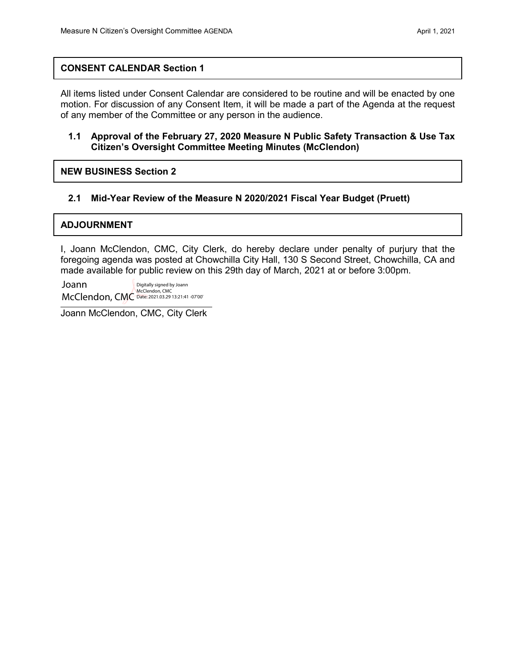### **CONSENT CALENDAR Section 1**

All items listed under Consent Calendar are considered to be routine and will be enacted by one motion. For discussion of any Consent Item, it will be made a part of the Agenda at the request of any member of the Committee or any person in the audience.

### **1.1 Approval of the February 27, 2020 Measure N Public Safety Transaction & Use Tax Citizen's Oversight Committee Meeting Minutes (McClendon)**

**NEW BUSINESS Section 2**

### **2.1 Mid-Year Review of the Measure N 2020/2021 Fiscal Year Budget (Pruett)**

### **ADJOURNMENT**

I, Joann McClendon, CMC, City Clerk, do hereby declare under penalty of purjury that the foregoing agenda was posted at Chowchilla City Hall, 130 S Second Street, Chowchilla, CA and made available for public review on this 29th day of March, 2021 at or before 3:00pm.

Joann McClendon, CMC McClendon, CMC Date: 2021.03.29 13:21:41 -07'00'Digitally signed by Joann

Joann McClendon, CMC, City Clerk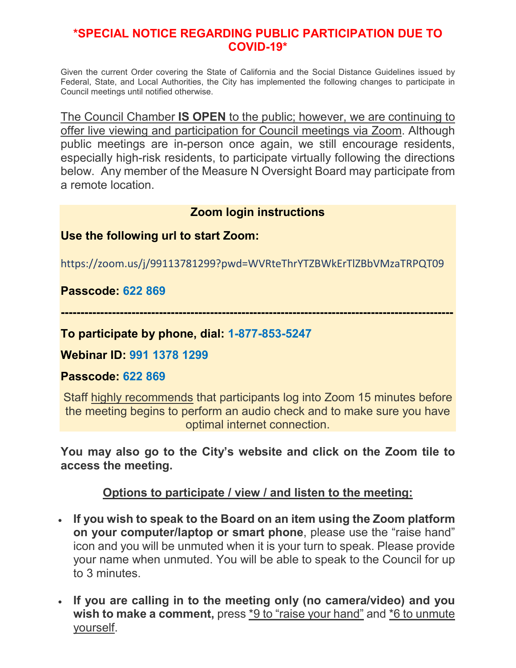# **\*SPECIAL NOTICE REGARDING PUBLIC PARTICIPATION DUE TO COVID-19\***

Given the current Order covering the State of California and the Social Distance Guidelines issued by Federal, State, and Local Authorities, the City has implemented the following changes to participate in Council meetings until notified otherwise.

The Council Chamber **IS OPEN** to the public; however, we are continuing to offer live viewing and participation for Council meetings via Zoom. Although public meetings are in-person once again, we still encourage residents, especially high-risk residents, to participate virtually following the directions below. Any member of the Measure N Oversight Board may participate from a remote location.

# **Zoom login instructions**

# **Use the following url to start Zoom:**

https://zoom.us/j/99113781299?pwd=WVRteThrYTZBWkErTlZBbVMzaTRPQT09

# **Passcode: 622 869**

**----------------------------------------------------------------------------------------------------**

# **To participate by phone, dial: 1-877-853-5247**

## **Webinar ID: 991 1378 1299**

## **Passcode: 622 869**

Staff highly recommends that participants log into Zoom 15 minutes before the meeting begins to perform an audio check and to make sure you have optimal internet connection.

**You may also go to the City's website and click on the Zoom tile to access the meeting.**

# **Options to participate / view / and listen to the meeting:**

- **If you wish to speak to the Board on an item using the Zoom platform on your computer/laptop or smart phone**, please use the "raise hand" icon and you will be unmuted when it is your turn to speak. Please provide your name when unmuted. You will be able to speak to the Council for up to 3 minutes.
- **If you are calling in to the meeting only (no camera/video) and you**  wish to make a comment, press \*9 to "raise your hand" and \*6 to unmute yourself.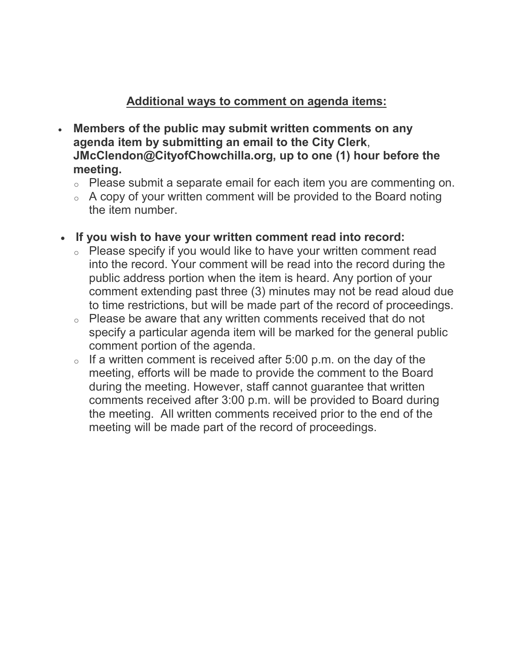# **Additional ways to comment on agenda items:**

- **Members of the public may submit written comments on any agenda item by submitting an email to the City Clerk**, **JMcClendon@CityofChowchilla.org, up to one (1) hour before the meeting.**
	- <sup>o</sup> Please submit a separate email for each item you are commenting on.
	- $\circ$  A copy of your written comment will be provided to the Board noting the item number.
- **If you wish to have your written comment read into record:**
	- <sup>o</sup> Please specify if you would like to have your written comment read into the record. Your comment will be read into the record during the public address portion when the item is heard. Any portion of your comment extending past three (3) minutes may not be read aloud due to time restrictions, but will be made part of the record of proceedings.
	- <sup>o</sup> Please be aware that any written comments received that do not specify a particular agenda item will be marked for the general public comment portion of the agenda.
	- $\circ$  If a written comment is received after 5:00 p.m. on the day of the meeting, efforts will be made to provide the comment to the Board during the meeting. However, staff cannot guarantee that written comments received after 3:00 p.m. will be provided to Board during the meeting. All written comments received prior to the end of the meeting will be made part of the record of proceedings.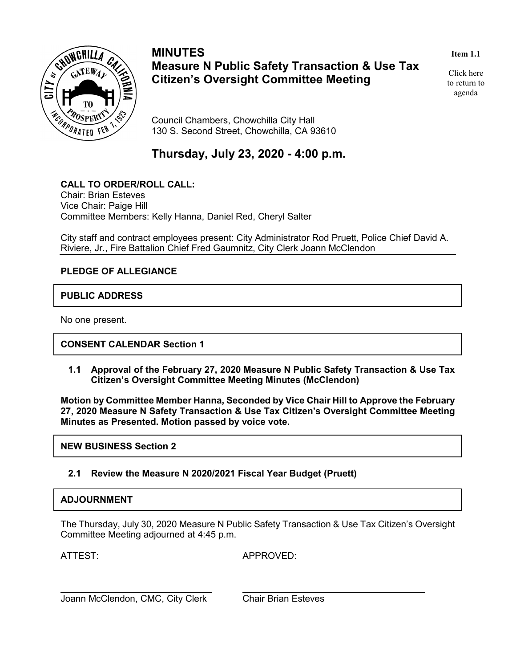

# **MINUTES Measure N Public Safety Transaction & Use Tax Citizen's Oversight Committee Meeting**

#### **Item 1.1**

Click here to return to agenda

Council Chambers, Chowchilla City Hall 130 S. Second Street, Chowchilla, CA 93610

**Thursday, July 23, 2020 - 4:00 p.m.**

### **CALL TO ORDER/ROLL CALL:**

Chair: Brian Esteves Vice Chair: Paige Hill Committee Members: Kelly Hanna, Daniel Red, Cheryl Salter

City staff and contract employees present: City Administrator Rod Pruett, Police Chief David A. Riviere, Jr., Fire Battalion Chief Fred Gaumnitz, City Clerk Joann McClendon

### **PLEDGE OF ALLEGIANCE**

### **PUBLIC ADDRESS**

No one present.

**CONSENT CALENDAR Section 1**

**1.1 Approval of the February 27, 2020 Measure N Public Safety Transaction & Use Tax Citizen's Oversight Committee Meeting Minutes (McClendon)**

**Motion by Committee Member Hanna, Seconded by Vice Chair Hill to Approve the February 27, 2020 Measure N Safety Transaction & Use Tax Citizen's Oversight Committee Meeting Minutes as Presented. Motion passed by voice vote.** 

**NEW BUSINESS Section 2**

### **2.1 Review the Measure N 2020/2021 Fiscal Year Budget (Pruett)**

### **ADJOURNMENT**

The Thursday, July 30, 2020 Measure N Public Safety Transaction & Use Tax Citizen's Oversight Committee Meeting adjourned at 4:45 p.m.

ATTEST: APPROVED:

Joann McClendon, CMC, City Clerk Chair Brian Esteves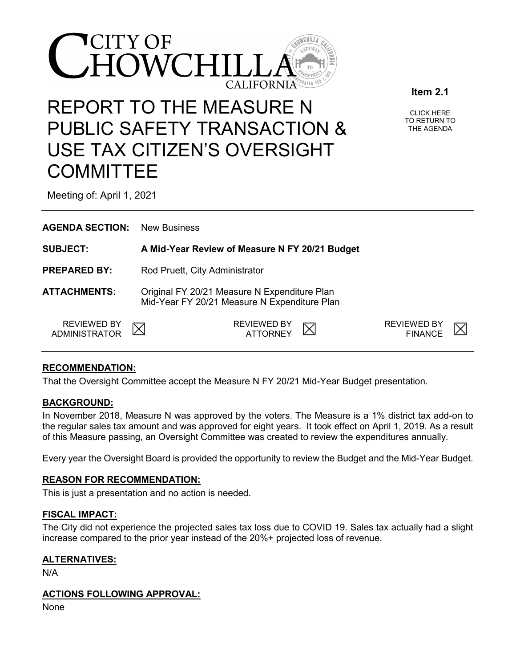

# REPORT TO THE MEASURE N PUBLIC SAFETY TRANSACTION & USE TAX CITIZEN'S OVERSIGHT **COMMITTEE**

CLICK HERE TO RETURN TO THE AGENDA

**Item 2.1**

Meeting of: April 1, 2021

| <b>AGENDA SECTION:</b>       | <b>New Business</b>                                                                          |                                      |  |  |
|------------------------------|----------------------------------------------------------------------------------------------|--------------------------------------|--|--|
| <b>SUBJECT:</b>              | A Mid-Year Review of Measure N FY 20/21 Budget                                               |                                      |  |  |
| <b>PREPARED BY:</b>          | Rod Pruett, City Administrator                                                               |                                      |  |  |
| <b>ATTACHMENTS:</b>          | Original FY 20/21 Measure N Expenditure Plan<br>Mid-Year FY 20/21 Measure N Expenditure Plan |                                      |  |  |
| REVIEWED BY<br>ADMINISTRATOR | <b>REVIEWED BY</b><br>ATTORNEY                                                               | <b>REVIEWED BY</b><br><b>FINANCE</b> |  |  |

### **RECOMMENDATION:**

That the Oversight Committee accept the Measure N FY 20/21 Mid-Year Budget presentation.

### **BACKGROUND:**

In November 2018, Measure N was approved by the voters. The Measure is a 1% district tax add-on to the regular sales tax amount and was approved for eight years. It took effect on April 1, 2019. As a result of this Measure passing, an Oversight Committee was created to review the expenditures annually.

Every year the Oversight Board is provided the opportunity to review the Budget and the Mid-Year Budget.

### **REASON FOR RECOMMENDATION:**

This is just a presentation and no action is needed.

### **FISCAL IMPACT:**

The City did not experience the projected sales tax loss due to COVID 19. Sales tax actually had a slight increase compared to the prior year instead of the 20%+ projected loss of revenue.

### **ALTERNATIVES:**

N/A

### **ACTIONS FOLLOWING APPROVAL:**

None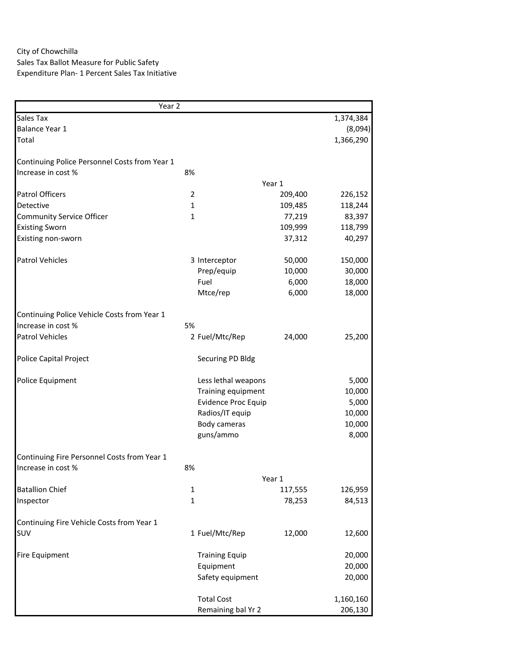## City of Chowchilla Sales Tax Ballot Measure for Public Safety Expenditure Plan- 1 Percent Sales Tax Initiative

| Year <sub>2</sub>                             |                |                            |         |           |
|-----------------------------------------------|----------------|----------------------------|---------|-----------|
| Sales Tax                                     |                |                            |         | 1,374,384 |
| Balance Year 1                                |                |                            |         | (8,094)   |
| Total                                         |                |                            |         | 1,366,290 |
| Continuing Police Personnel Costs from Year 1 |                |                            |         |           |
| Increase in cost %                            | 8%             |                            |         |           |
|                                               |                |                            | Year 1  |           |
| <b>Patrol Officers</b>                        | $\overline{2}$ |                            | 209,400 | 226,152   |
| Detective                                     | $\mathbf{1}$   |                            | 109,485 | 118,244   |
| <b>Community Service Officer</b>              | $\mathbf{1}$   |                            | 77,219  | 83,397    |
| <b>Existing Sworn</b>                         |                |                            | 109,999 | 118,799   |
| Existing non-sworn                            |                |                            | 37,312  | 40,297    |
|                                               |                |                            |         |           |
| <b>Patrol Vehicles</b>                        |                | 3 Interceptor              | 50,000  | 150,000   |
|                                               |                | Prep/equip                 | 10,000  | 30,000    |
|                                               |                | Fuel                       | 6,000   | 18,000    |
|                                               |                | Mtce/rep                   | 6,000   | 18,000    |
|                                               |                |                            |         |           |
| Continuing Police Vehicle Costs from Year 1   |                |                            |         |           |
| Increase in cost %                            | 5%             |                            |         |           |
| <b>Patrol Vehicles</b>                        |                | 2 Fuel/Mtc/Rep             | 24,000  | 25,200    |
|                                               |                |                            |         |           |
| Police Capital Project                        |                | Securing PD Bldg           |         |           |
| Police Equipment                              |                | Less lethal weapons        |         | 5,000     |
|                                               |                | Training equipment         |         | 10,000    |
|                                               |                | <b>Evidence Proc Equip</b> |         | 5,000     |
|                                               |                | Radios/IT equip            |         | 10,000    |
|                                               |                | Body cameras               |         | 10,000    |
|                                               |                |                            |         |           |
|                                               |                | guns/ammo                  |         | 8,000     |
| Continuing Fire Personnel Costs from Year 1   |                |                            |         |           |
| Increase in cost %                            | 8%             |                            |         |           |
|                                               |                |                            | Year 1  |           |
| <b>Batallion Chief</b>                        | 1              |                            | 117,555 | 126,959   |
| Inspector                                     | $\mathbf{1}$   |                            | 78,253  | 84,513    |
|                                               |                |                            |         |           |
| Continuing Fire Vehicle Costs from Year 1     |                |                            |         |           |
| SUV                                           |                | 1 Fuel/Mtc/Rep             | 12,000  | 12,600    |
|                                               |                |                            |         |           |
| <b>Fire Equipment</b>                         |                | <b>Training Equip</b>      |         | 20,000    |
|                                               |                | Equipment                  |         | 20,000    |
|                                               |                | Safety equipment           |         | 20,000    |
|                                               |                |                            |         |           |
|                                               |                | <b>Total Cost</b>          |         | 1,160,160 |
|                                               |                | Remaining bal Yr 2         |         | 206,130   |